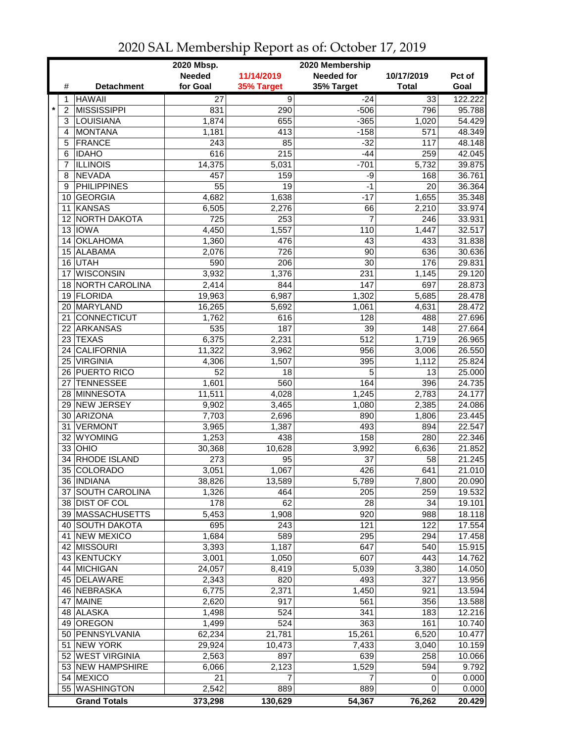|              |                     | 2020 Mbsp.      | 2020 Membership |                   |                 |         |
|--------------|---------------------|-----------------|-----------------|-------------------|-----------------|---------|
|              |                     | <b>Needed</b>   | 11/14/2019      | <b>Needed for</b> | 10/17/2019      | Pct of  |
| #            | <b>Detachment</b>   | for Goal        | 35% Target      | 35% Target        | <b>Total</b>    | Goal    |
| 1            | <b>HAWAII</b>       | $\overline{27}$ | $\overline{9}$  | $-24$             | $\overline{33}$ | 122.222 |
| $\star$<br>2 | <b>MISSISSIPPI</b>  | 831             | 290             | $-506$            | 796             | 95.788  |
| 3            | LOUISIANA           | 1,874           | 655             | $-365$            | 1,020           | 54.429  |
| 4            | <b>MONTANA</b>      | 1,181           | 413             | $-158$            | 571             | 48.349  |
| 5            | <b>FRANCE</b>       | 243             | 85              | $-32$             | 117             | 48.148  |
| 6            | <b>IDAHO</b>        | 616             | 215             | $-44$             | 259             | 42.045  |
| 7            | <b>ILLINOIS</b>     | 14,375          | 5,031           | $-701$            | 5,732           | 39.875  |
| 8            | <b>NEVADA</b>       | 457             | 159             | -9                | 168             | 36.761  |
| 9            | <b>PHILIPPINES</b>  | 55              | 19              | $-1$              | 20              | 36.364  |
|              | 10 GEORGIA          | 4,682           | 1,638           | $-17$             | 1,655           | 35.348  |
|              | 11 KANSAS           | 6,505           | 2,276           | 66                | 2,210           | 33.974  |
|              | 12 NORTH DAKOTA     | 725             | 253             | $\overline{7}$    | 246             | 33.931  |
|              | 13 IOWA             | 4,450           | 1,557           | 110               | 1,447           | 32.517  |
|              | 14 OKLAHOMA         | 1,360           | 476             | 43                | 433             | 31.838  |
|              | 15 ALABAMA          | 2,076           | 726             | 90                | 636             | 30.636  |
| 16           | <b>UTAH</b>         | 590             | 206             | 30                | 176             | 29.831  |
| 17           | <b>WISCONSIN</b>    | 3,932           | 1,376           | 231               | 1,145           | 29.120  |
|              | 18 NORTH CAROLINA   | 2,414           | 844             | 147               | 697             | 28.873  |
|              | 19 FLORIDA          | 19,963          | 6,987           | 1,302             | 5,685           | 28.478  |
|              | 20 MARYLAND         | 16,265          | 5,692           | 1,061             | 4,631           | 28.472  |
| 21           | <b>CONNECTICUT</b>  | 1,762           | 616             | 128               | 488             | 27.696  |
| 22           | <b>ARKANSAS</b>     | 535             | 187             | 39                | 148             | 27.664  |
| 23           | <b>TEXAS</b>        | 6,375           | 2,231           | 512               | 1,719           | 26.965  |
| 24           | <b>CALIFORNIA</b>   | 11,322          | 3,962           | 956               | 3,006           | 26.550  |
|              | 25 VIRGINIA         | 4,306           | 1,507           | 395               | 1,112           | 25.824  |
|              | 26 PUERTO RICO      | 52              | 18              | 5                 | 13              | 25.000  |
| 27           | <b>TENNESSEE</b>    | 1,601           | 560             | 164               | 396             | 24.735  |
|              | 28 MINNESOTA        | 11,511          | 4,028           | 1,245             | 2,783           | 24.177  |
|              | 29 NEW JERSEY       | 9,902           | 3,465           | 1,080             | 2,385           | 24.086  |
|              | 30 ARIZONA          | 7,703           | 2,696           | 890               | 1,806           | 23.445  |
| 31           | <b>VERMONT</b>      | 3,965           | 1,387           | 493               | 894             | 22.547  |
| 32           | <b>WYOMING</b>      | 1,253           | 438             | 158               | 280             | 22.346  |
|              | $33$ OHIO           | 30,368          | 10,628          | 3,992             | 6,636           | 21.852  |
| 34           | RHODE ISLAND        | 273             | 95              | 37                | 58              | 21.245  |
|              | 35 COLORADO         | 3,051           | 1,067           | 426               | 641             | 21.010  |
|              | 36 INDIANA          | 38,826          | 13,589          | 5,789             | 7,800           | 20.090  |
|              | 37 SOUTH CAROLINA   | 1,326           | 464             | 205               | 259             | 19.532  |
|              | 38 DIST OF COL      | 178             | 62              | 28                | 34              | 19.101  |
|              | 39 MASSACHUSETTS    | 5,453           | 1,908           | 920               | 988             | 18.118  |
|              | 40 SOUTH DAKOTA     | 695             | 243             | 121               | 122             | 17.554  |
|              | 41 NEW MEXICO       | 1,684           | 589             | 295               | 294             | 17.458  |
|              | 42 MISSOURI         | 3,393           | 1,187           | 647               | 540             | 15.915  |
|              | 43 KENTUCKY         | 3,001           | 1,050           | 607               | 443             | 14.762  |
|              | 44 MICHIGAN         | 24,057          | 8,419           | 5,039             | 3,380           | 14.050  |
|              | 45 DELAWARE         | 2,343           | 820             | 493               | 327             | 13.956  |
|              | 46 NEBRASKA         | 6,775           | 2,371           | 1,450             | 921             | 13.594  |
|              | 47 MAINE            | 2,620           | 917             | 561               | 356             | 13.588  |
|              | 48 ALASKA           | 1,498           | 524             | 341               | 183             | 12.216  |
|              | 49 OREGON           | 1,499           | 524             | 363               | 161             | 10.740  |
|              | 50 PENNSYLVANIA     | 62,234          | 21,781          | 15,261            | 6,520           | 10.477  |
|              | 51 NEW YORK         | 29,924          | 10,473          | 7,433             | 3,040           | 10.159  |
|              | 52 WEST VIRGINIA    | 2,563           | 897             | 639               | 258             | 10.066  |
|              | 53 NEW HAMPSHIRE    | 6,066           | 2,123           | 1,529             | 594             | 9.792   |
|              | 54 MEXICO           | 21              | 7               | 7                 | 0               | 0.000   |
|              | 55 WASHINGTON       | 2,542           | 889             | 889               | 0               | 0.000   |
|              | <b>Grand Totals</b> | 373,298         | 130,629         | 54,367            | 76,262          | 20.429  |

## 2020 SAL Membership Report as of: October 17, 2019